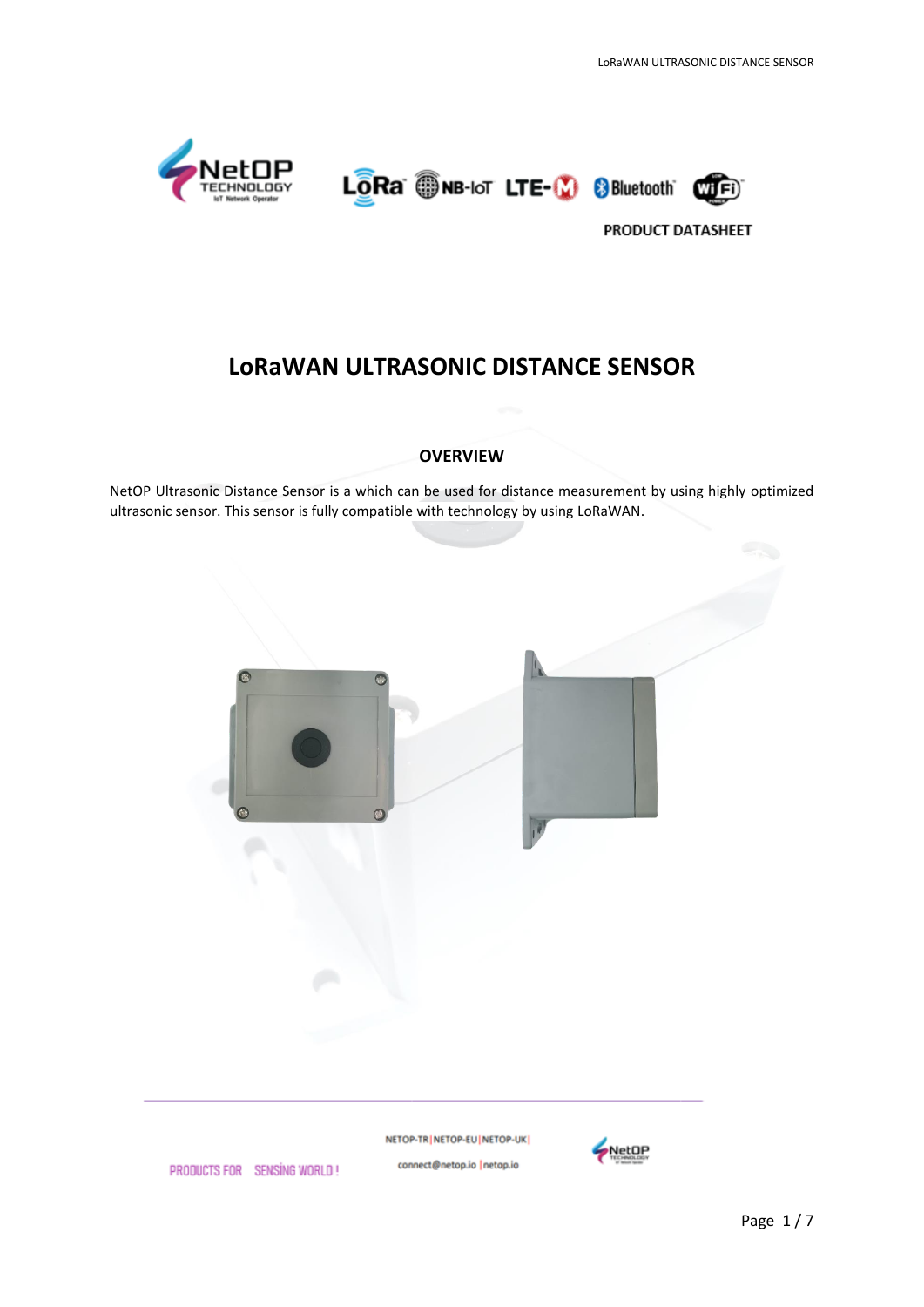





# **LoRaWAN ULTRASONIC DISTANCE SENSOR**

#### **OVERVIEW**

NetOP Ultrasonic Distance Sensor is a which can be used for distance measurement by using highly optimized ultrasonic sensor. This sensor is fully compatible with technology by using LoRaWAN.



NETOP-TR | NETOP-EU | NETOP-UK | connect@netop.io |netop.io



PRODUCTS FOR SENSING WORLD!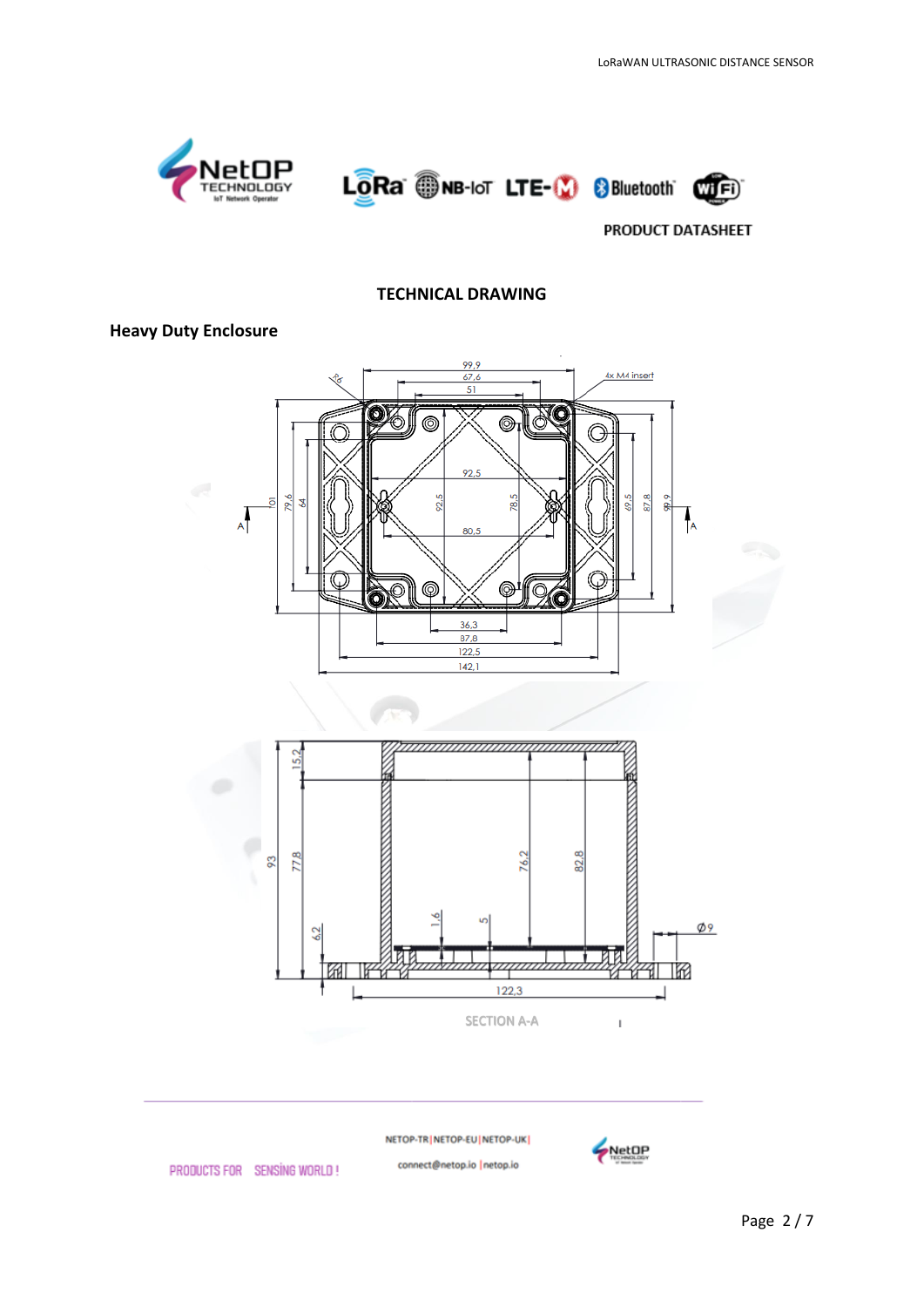

#### **TECHNICAL DRAWING**

### **Heavy Duty Enclosure**



NETOP-TR | NETOP-EU | NETOP-UK |

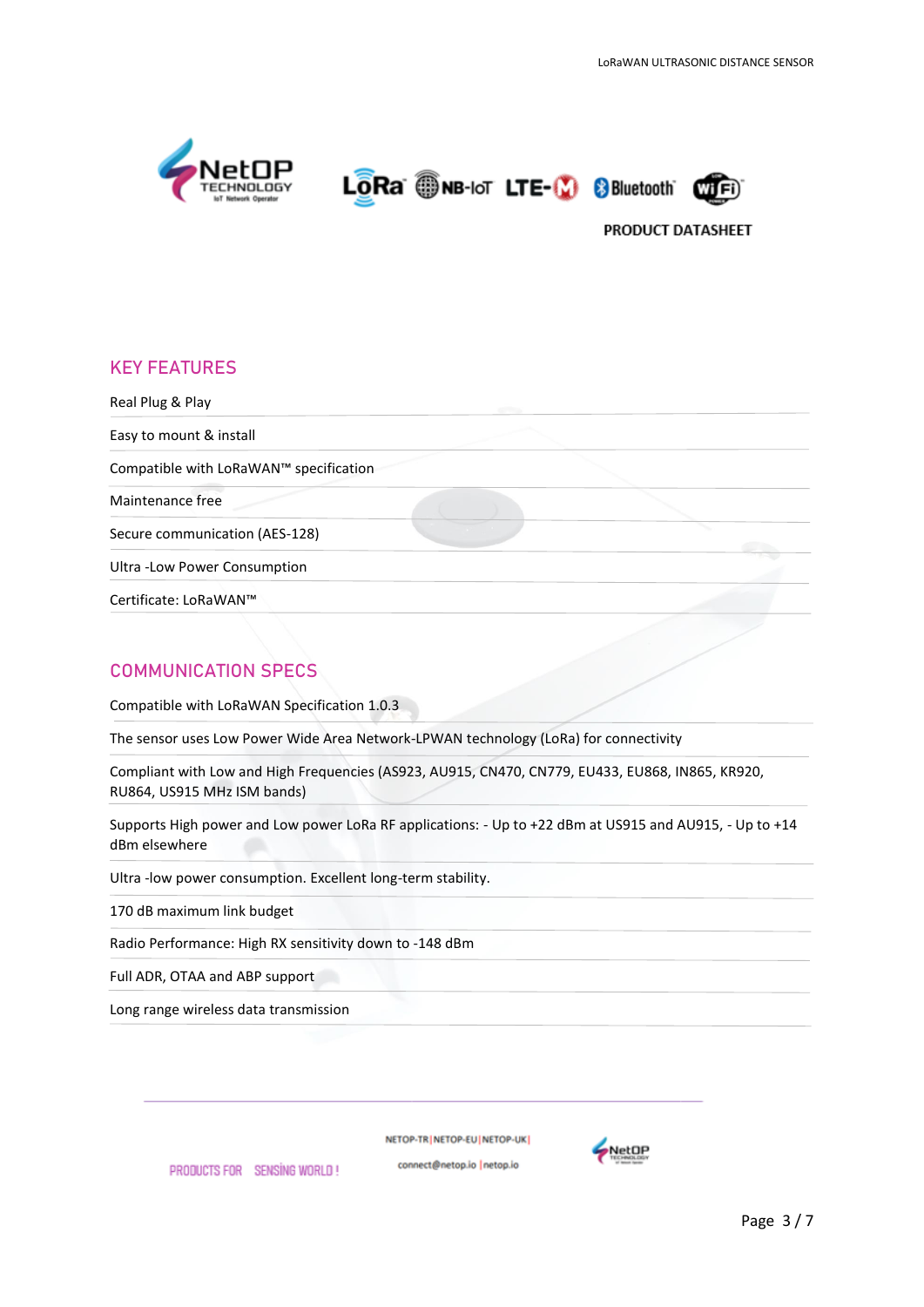





## **KEY FEATURES**

Real Plug & Play Easy to mount & install Compatible with LoRaWAN™ specification Maintenance free Secure communication (AES-128) Ultra -Low Power Consumption Certificate: LoRaWAN™

# **COMMUNICATION SPECS**

Compatible with LoRaWAN Specification 1.0.3

The sensor uses Low Power Wide Area Network-LPWAN technology (LoRa) for connectivity

Compliant with Low and High Frequencies (AS923, AU915, CN470, CN779, EU433, EU868, IN865, KR920, RU864, US915 MHz ISM bands)

Supports High power and Low power LoRa RF applications: - Up to +22 dBm at US915 and AU915, - Up to +14 dBm elsewhere

Ultra -low power consumption. Excellent long-term stability.

170 dB maximum link budget

Radio Performance: High RX sensitivity down to -148 dBm

Full ADR, OTAA and ABP support

Long range wireless data transmission

PRODUCTS FOR SENSING WORLD!

NETOP-TRINETOP-EUINETOP-UK

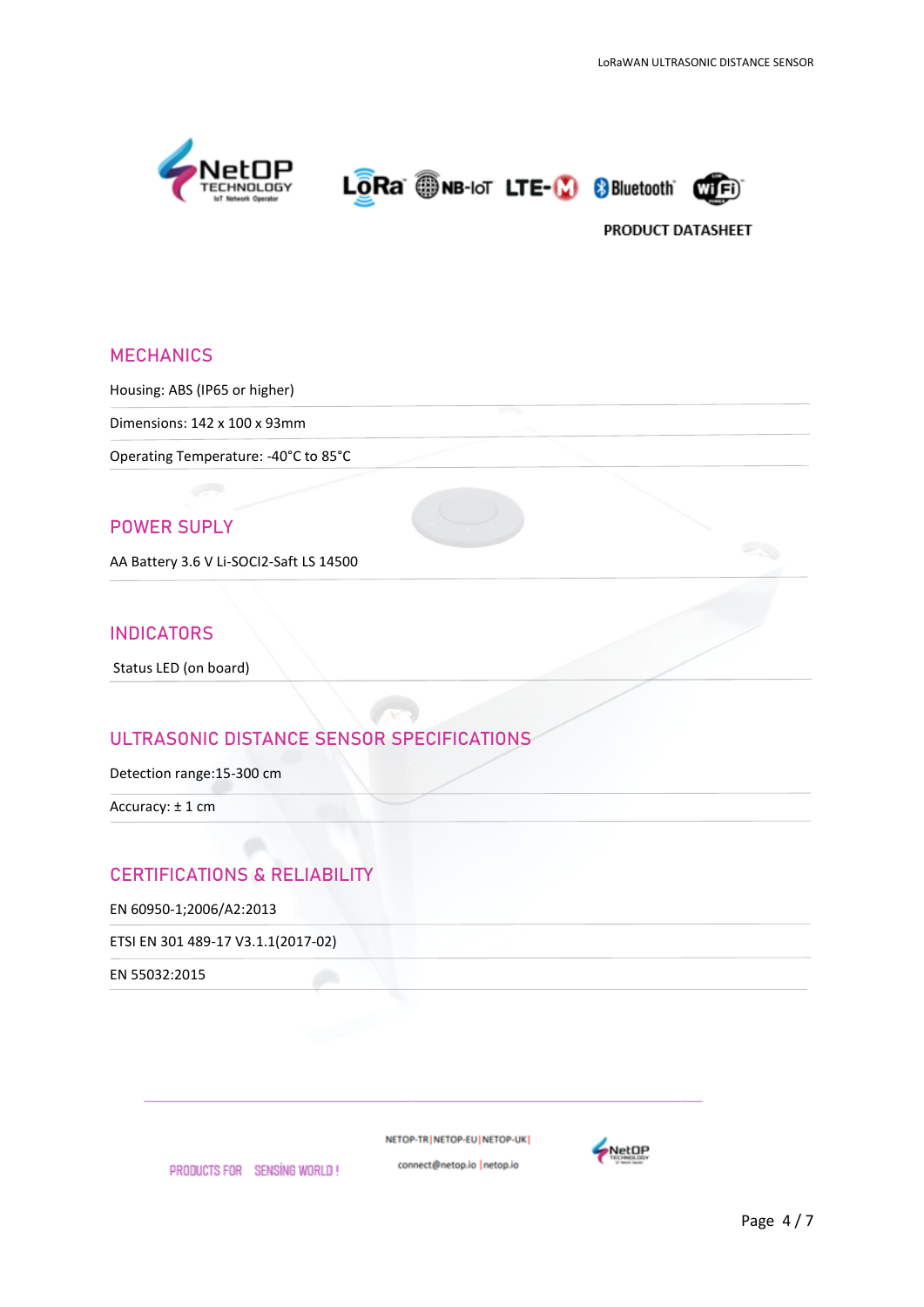

# **MECHANICS**

Housing: ABS (IP65 or higher)

Dimensions: 142 x 100 x 93mm

Operating Temperature: -40°C to 85°C

### **POWER SUPLY**

AA Battery 3.6 V Li-SOCI2-Saft LS 14500

#### **INDICATORS**

Status LED (on board)

## **ULTRASONIC DISTANCE SENSOR SPECIFICATIONS**

Detection range:15-300 cm

Accuracy: ± 1 cm

# **CERTIFICATIONS & RELIABILITY**

PRODUCTS FOR SENSING WORLD!

EN 60950-1;2006/A2:2013

ETSI EN 301 489-17 V3.1.1(2017-02)

EN 55032:2015

NETOP-TR NETOP-EU NETOP-UK

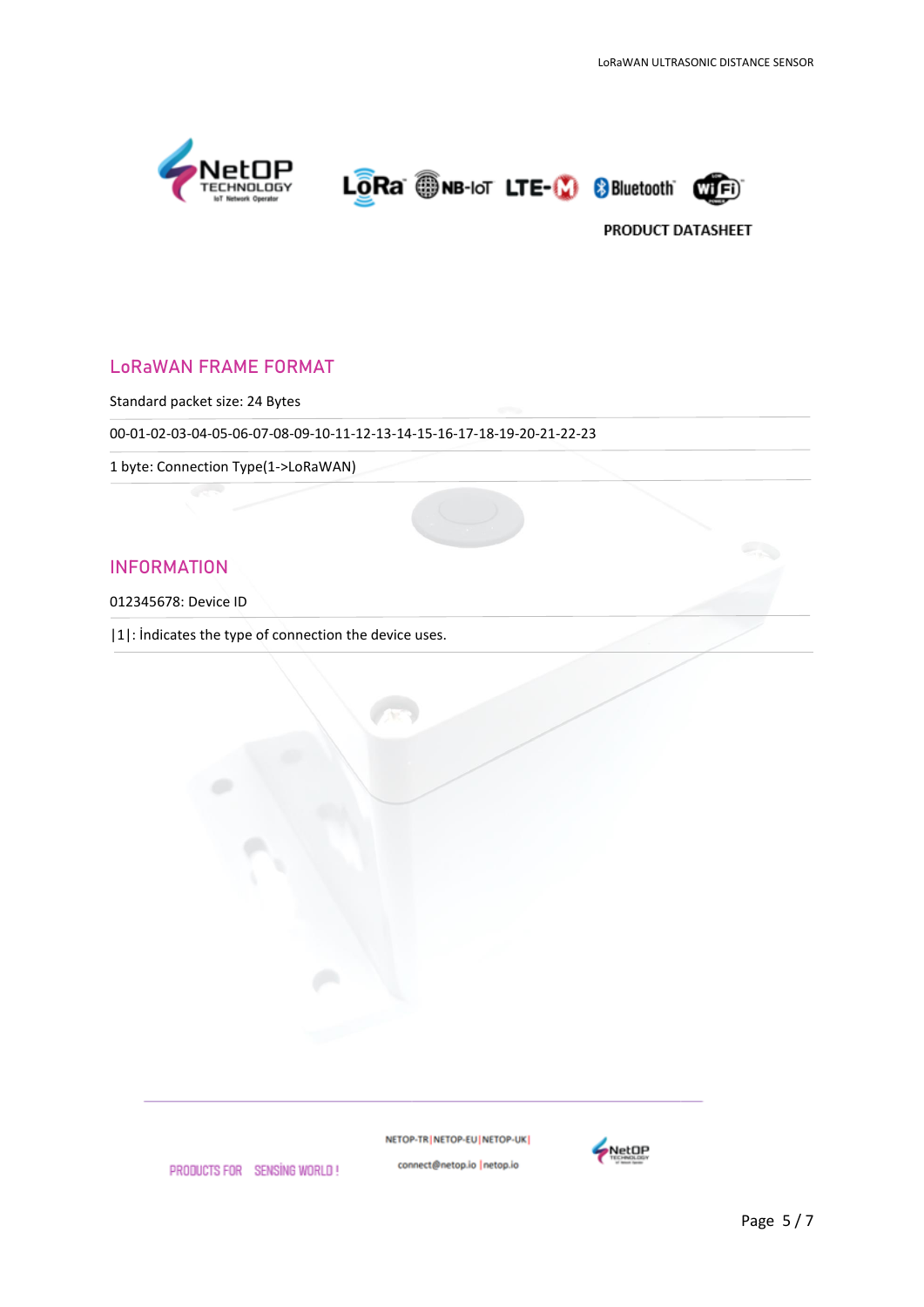





# **LoRaWAN FRAME FORMAT**

Standard packet size: 24 Bytes

00-01-02-03-04-05-06-07-08-09-10-11-12-13-14-15-16-17-18-19-20-21-22-23

1 byte: Connection Type(1->LoRaWAN)

### **INFORMATION**

012345678: Device ID

|1|: İndicates the type of connection the device uses.

NETOP-TR | NETOP-EU | NETOP-UK |



PRODUCTS FOR SENSING WORLD!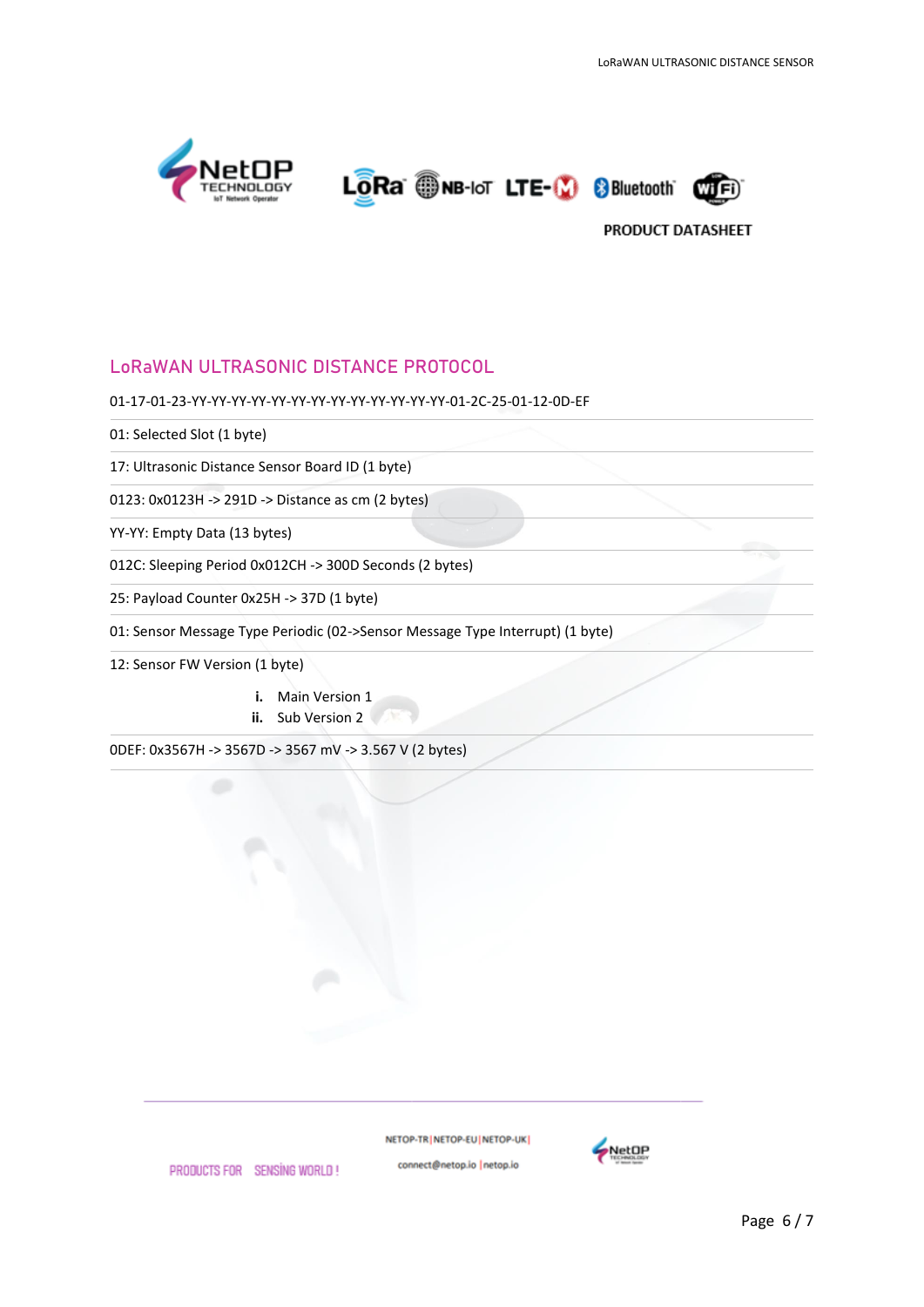





# **LoRaWAN ULTRASONIC DISTANCE PROTOCOL**

#### 01-17-01-23-YY-YY-YY-YY-YY-YY-YY-YY-YY-YY-YY-YY-YY-01-2C-25-01-12-0D-EF

01: Selected Slot (1 byte)

17: Ultrasonic Distance Sensor Board ID (1 byte)

0123: 0x0123H -> 291D -> Distance as cm (2 bytes)

YY-YY: Empty Data (13 bytes)

012C: Sleeping Period 0x012CH -> 300D Seconds (2 bytes)

25: Payload Counter 0x25H -> 37D (1 byte)

01: Sensor Message Type Periodic (02->Sensor Message Type Interrupt) (1 byte)

12: Sensor FW Version (1 byte)

- **i.** Main Version 1
- **ii.** Sub Version 2

0DEF: 0x3567H -> 3567D -> 3567 mV -> 3.567 V (2 bytes)

NETOP-TR NETOP-EU NETOP-UK connect@netop.io |netop.io



PRODUCTS FOR SENSING WORLD!